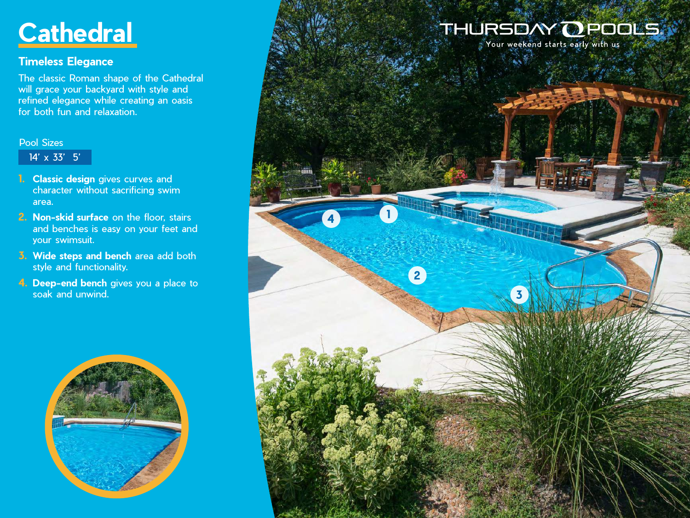# **Cathedral**

### **Timeless Elegance**

The classic Roman shape of the Cathedral will grace your backyard with style and refined elegance while creating an oasis for both fun and relaxation.

#### Pool Sizes

14' x 33' 5'

- **1. Classic design** gives curves and character without sacrificing swim area.
- **2. Non-skid surface** on the floor, stairs and benches is easy on your feet and your swimsuit.
- **3. Wide steps and bench** area add both style and functionality.
- **4. Deep-end bench** gives you a place to soak and unwind.



## THURSDAY OPOOLS

**3**

**1**

**4**

**2**

Your weekend starts early with us

AAAAAA